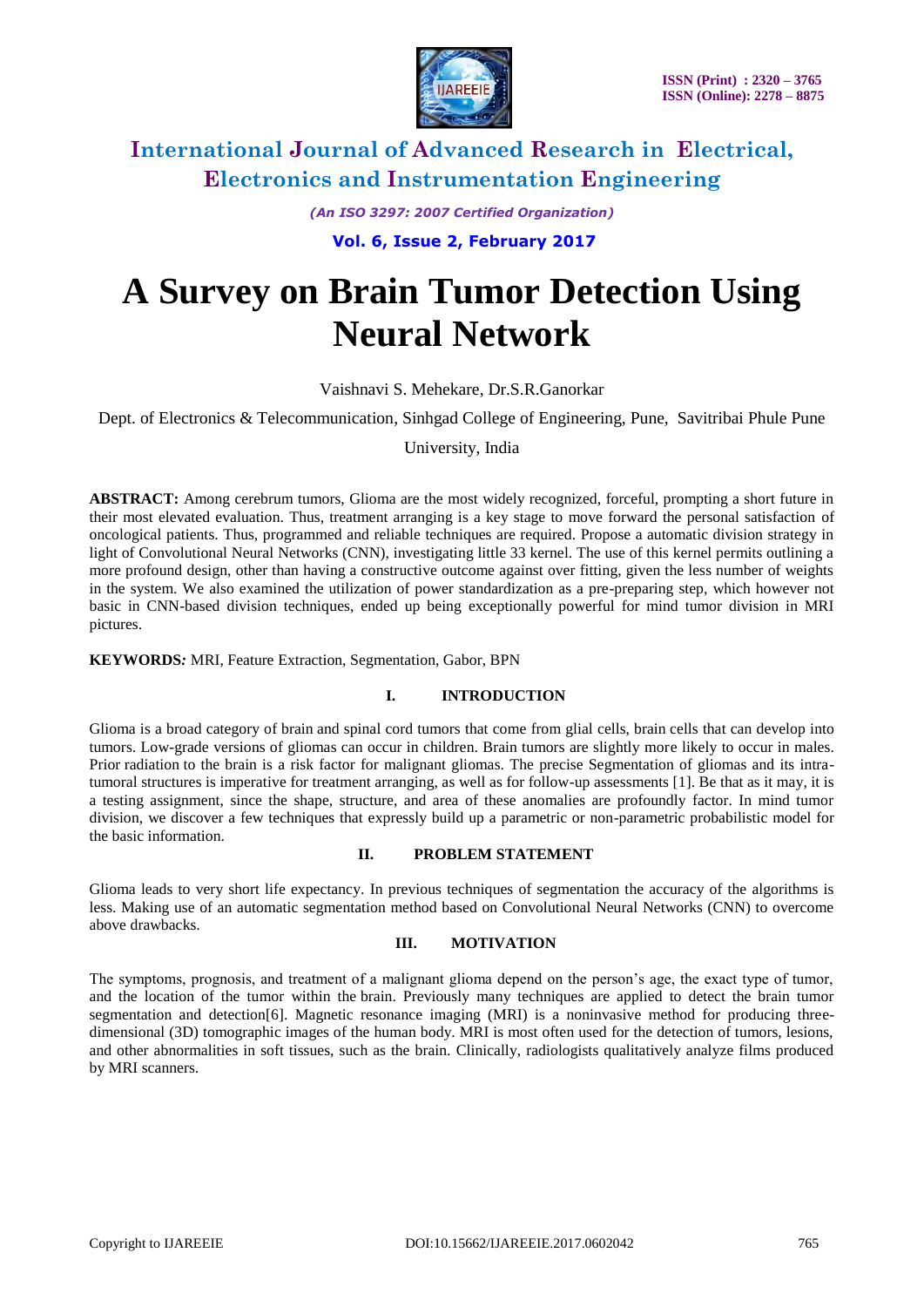

*(An ISO 3297: 2007 Certified Organization)*

**Vol. 6, Issue 2, February 2017**

# **A Survey on Brain Tumor Detection Using Neural Network**

Vaishnavi S. Mehekare, Dr.S.R.Ganorkar

Dept. of Electronics & Telecommunication, Sinhgad College of Engineering, Pune, Savitribai Phule Pune

University, India

**ABSTRACT:** Among cerebrum tumors, Glioma are the most widely recognized, forceful, prompting a short future in their most elevated evaluation. Thus, treatment arranging is a key stage to move forward the personal satisfaction of oncological patients. Thus, programmed and reliable techniques are required. Propose a automatic division strategy in light of Convolutional Neural Networks (CNN), investigating little 33 kernel. The use of this kernel permits outlining a more profound design, other than having a constructive outcome against over fitting, given the less number of weights in the system. We also examined the utilization of power standardization as a pre-preparing step, which however not basic in CNN-based division techniques, ended up being exceptionally powerful for mind tumor division in MRI pictures.

**KEYWORDS***:* MRI, Feature Extraction, Segmentation, Gabor, BPN

#### **I. INTRODUCTION**

Glioma is a broad category of [brain](http://www.webmd.com/brain/picture-of-the-brain) and spinal cord tumors that come from glial cells, [brain](http://www.webmd.com/brain/ss/slideshow-concussions-brain-injuries) cells that can develop into tumors. Low-grade versions of gliomas can occur in children. Brain tumors are slightly more likely to occur in males. Prior [radiation](http://www.webmd.com/cancer/what-to-expect-from-radiation-therapy) to the brain is a risk factor for malignant gliomas. The precise Segmentation of gliomas and its intratumoral structures is imperative for treatment arranging, as well as for follow-up assessments [1]. Be that as it may, it is a testing assignment, since the shape, structure, and area of these anomalies are profoundly factor. In mind tumor division, we discover a few techniques that expressly build up a parametric or non-parametric probabilistic model for the basic information.

#### **II. PROBLEM STATEMENT**

Glioma leads to very short life expectancy. In previous techniques of segmentation the accuracy of the algorithms is less. Making use of an automatic segmentation method based on Convolutional Neural Networks (CNN) to overcome above drawbacks.

### **III. MOTIVATION**

The symptoms, prognosis, and treatment of a malignant glioma depend on the person's age, the exact type of tumor, and the location of the tumor within the [brain.](http://www.webmd.com/brain/rm-quiz-amazing-brain) Previously many techniques are applied to detect the brain tumor segmentation and detection[6]. Magnetic resonance imaging (MRI) is a noninvasive method for producing threedimensional (3D) tomographic images of the human body. MRI is most often used for the detection of tumors, lesions, and other abnormalities in soft tissues, such as the brain. Clinically, radiologists qualitatively analyze films produced by MRI scanners.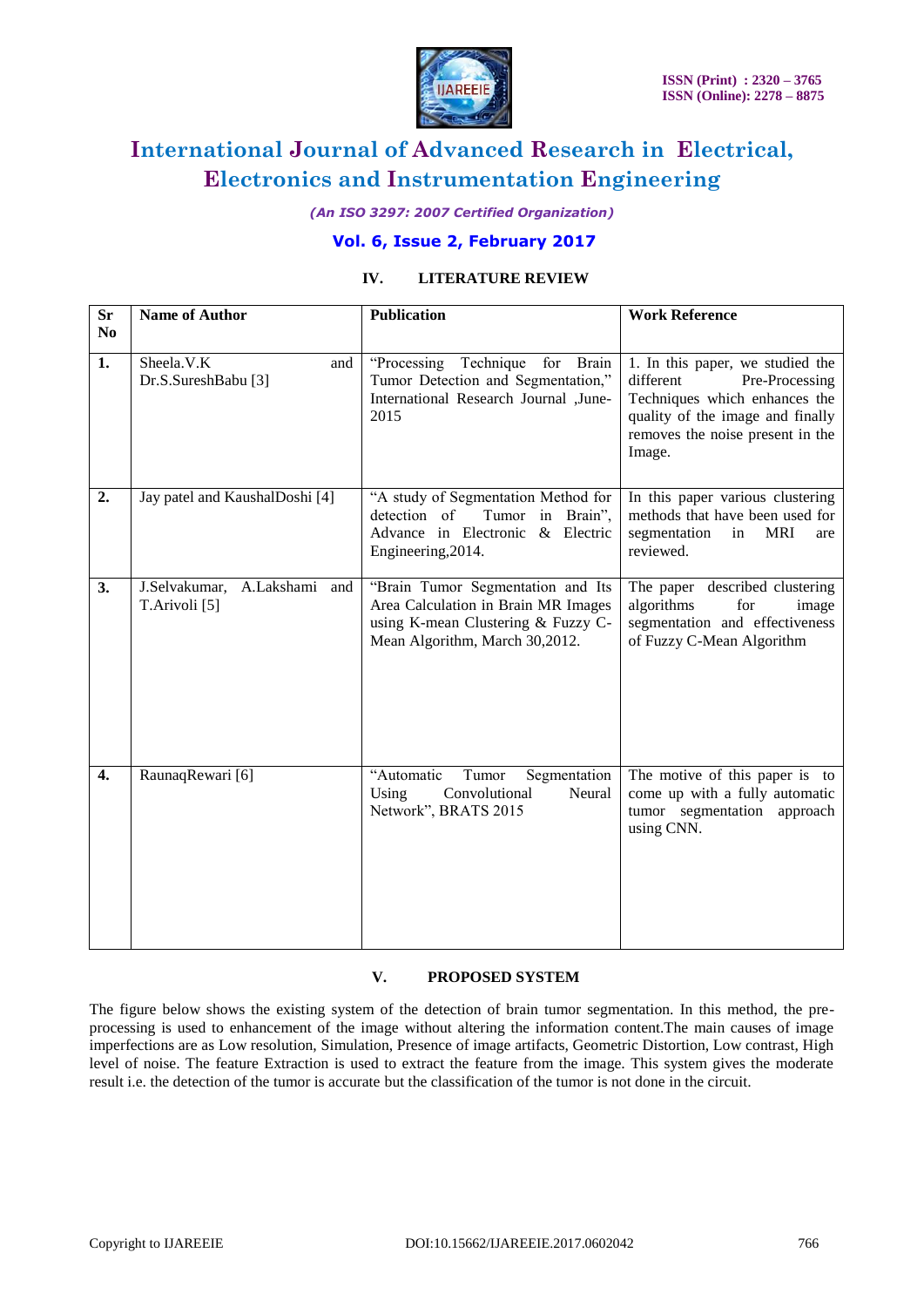

*(An ISO 3297: 2007 Certified Organization)*

## **Vol. 6, Issue 2, February 2017**

### **IV. LITERATURE REVIEW**

| <b>Sr</b>        | <b>Name of Author</b>                                    | <b>Publication</b>                                                                                                                               | <b>Work Reference</b>                                                                                                                                                              |
|------------------|----------------------------------------------------------|--------------------------------------------------------------------------------------------------------------------------------------------------|------------------------------------------------------------------------------------------------------------------------------------------------------------------------------------|
| N <sub>0</sub>   |                                                          |                                                                                                                                                  |                                                                                                                                                                                    |
| 1.               | Sheela.V.K<br>and<br>Dr.S.SureshBabu [3]                 | Technique<br>"Processing<br>for<br>Brain<br>Tumor Detection and Segmentation,"<br>International Research Journal ,June-<br>2015                  | 1. In this paper, we studied the<br>different<br>Pre-Processing<br>Techniques which enhances the<br>quality of the image and finally<br>removes the noise present in the<br>Image. |
| 2.               | Jay patel and KaushalDoshi [4]                           | "A study of Segmentation Method for<br>Tumor in Brain",<br>detection of<br>Advance in Electronic & Electric<br>Engineering, 2014.                | In this paper various clustering<br>methods that have been used for<br>segmentation<br><b>MRI</b><br>in<br>are<br>reviewed.                                                        |
| 3.               | J.Selvakumar, A.Lakshami and<br>T.Arivoli <sup>[5]</sup> | "Brain Tumor Segmentation and Its<br>Area Calculation in Brain MR Images<br>using K-mean Clustering & Fuzzy C-<br>Mean Algorithm, March 30,2012. | The paper described clustering<br>algorithms<br>for<br>image<br>segmentation and effectiveness<br>of Fuzzy C-Mean Algorithm                                                        |
| $\overline{4}$ . | RaunaqRewari [6]                                         | "Automatic<br>Tumor<br>Segmentation<br>Convolutional<br>Using<br>Neural<br>Network", BRATS 2015                                                  | The motive of this paper is to<br>come up with a fully automatic<br>tumor segmentation approach<br>using CNN.                                                                      |

#### **V. PROPOSED SYSTEM**

The figure below shows the existing system of the detection of brain tumor segmentation. In this method, the preprocessing is used to enhancement of the image without altering the information content.The main causes of image imperfections are as Low resolution, Simulation, Presence of image artifacts, Geometric Distortion, Low contrast, High level of noise. The feature Extraction is used to extract the feature from the image. This system gives the moderate result i.e. the detection of the tumor is accurate but the classification of the tumor is not done in the circuit.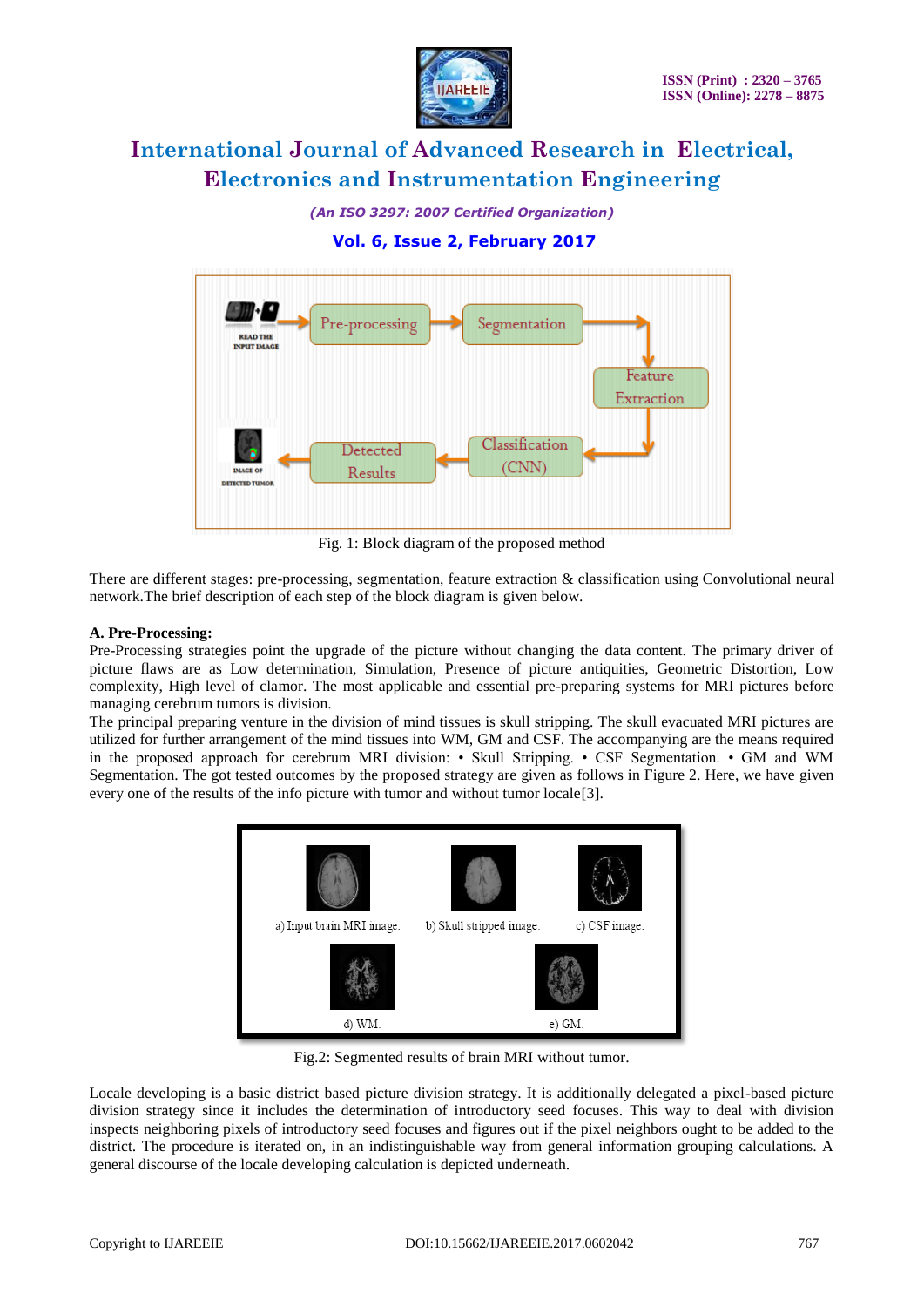

*(An ISO 3297: 2007 Certified Organization)*

# **Vol. 6, Issue 2, February 2017**



Fig. 1: Block diagram of the proposed method

There are different stages: pre-processing, segmentation, feature extraction & classification using Convolutional neural network.The brief description of each step of the block diagram is given below.

### **A. Pre-Processing:**

Pre-Processing strategies point the upgrade of the picture without changing the data content. The primary driver of picture flaws are as Low determination, Simulation, Presence of picture antiquities, Geometric Distortion, Low complexity, High level of clamor. The most applicable and essential pre-preparing systems for MRI pictures before managing cerebrum tumors is division.

The principal preparing venture in the division of mind tissues is skull stripping. The skull evacuated MRI pictures are utilized for further arrangement of the mind tissues into WM, GM and CSF. The accompanying are the means required in the proposed approach for cerebrum MRI division: • Skull Stripping. • CSF Segmentation. • GM and WM Segmentation. The got tested outcomes by the proposed strategy are given as follows in Figure 2. Here, we have given every one of the results of the info picture with tumor and without tumor locale[3].



Fig.2: Segmented results of brain MRI without tumor.

Locale developing is a basic district based picture division strategy. It is additionally delegated a pixel-based picture division strategy since it includes the determination of introductory seed focuses. This way to deal with division inspects neighboring pixels of introductory seed focuses and figures out if the pixel neighbors ought to be added to the district. The procedure is iterated on, in an indistinguishable way from general information grouping calculations. A general discourse of the locale developing calculation is depicted underneath.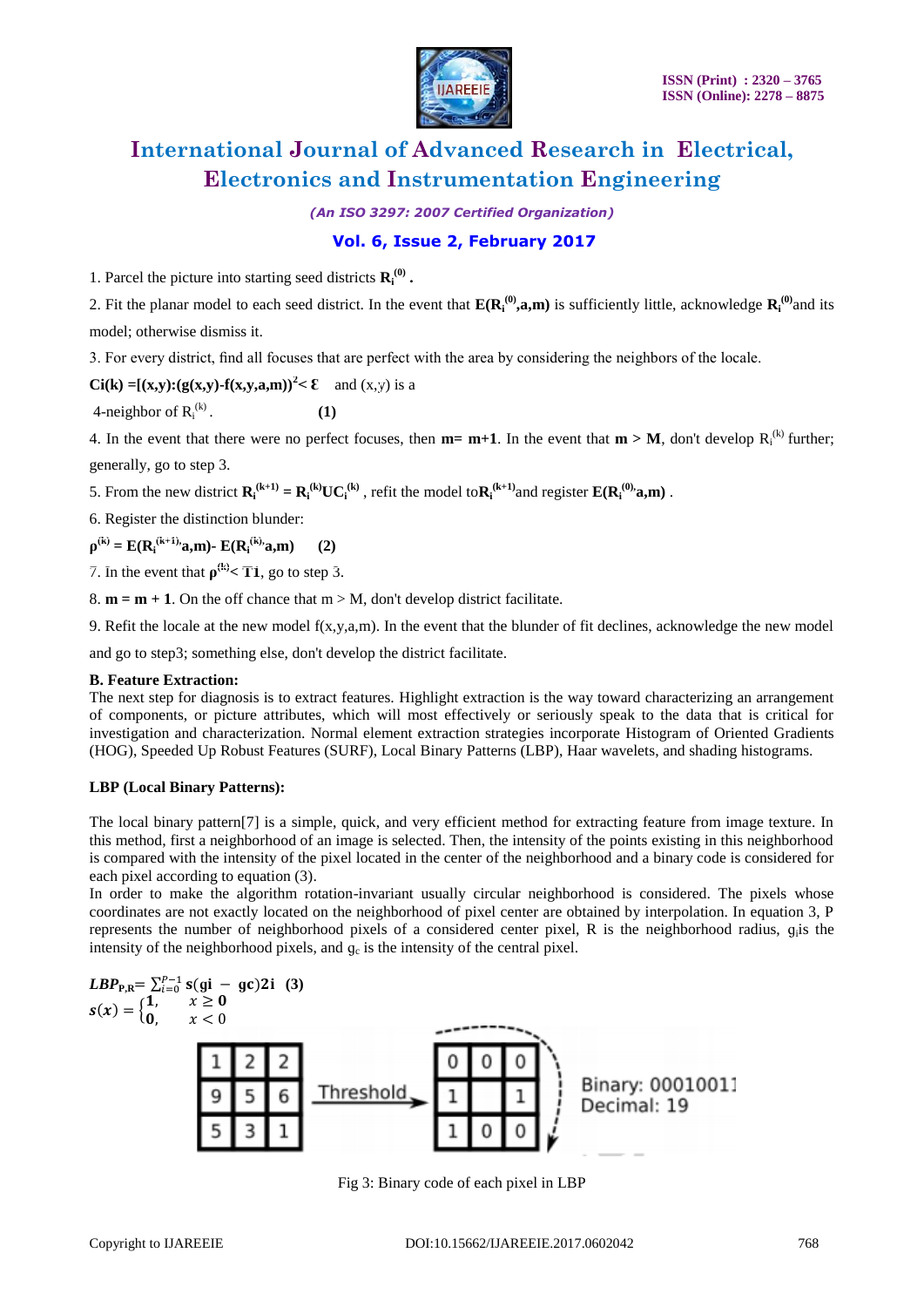

*(An ISO 3297: 2007 Certified Organization)*

## **Vol. 6, Issue 2, February 2017**

1. Parcel the picture into starting seed districts  $\mathbf{R}_i^{(0)}$ .

2. Fit the planar model to each seed district. In the event that  $E(R_i^{(0)},a,m)$  is sufficiently little, acknowledge  $R_i^{(0)}$  and its model; otherwise dismiss it.

3. For every district, find all focuses that are perfect with the area by considering the neighbors of the locale.

$$
Ci(k) = [(x,y):(g(x,y)-f(x,y,a,m))^{2} < \mathcal{E}
$$
 and  $(x,y)$  is a

4-neighbor of  $R_i^{(k)}$ . **(1)** 

4. In the event that there were no perfect focuses, then  $m = m+1$ . In the event that  $m > M$ , don't develop  $R_i^{(k)}$  further; generally, go to step 3.

5. From the new district  $\mathbf{R_i}^{(k+1)} = \mathbf{R_i}^{(k)} \mathbf{UC_i}^{(k)}$ , refit the model to $\mathbf{R_i}^{(k+1)}$  and register  $\mathbf{E}(\mathbf{R_i}^{(0)}, \mathbf{a}, \mathbf{m})$ .

6. Register the distinction blunder:

 $\rho^{(k)} = E(R_i^{(k+1)}, a, m)$ -  $E(R_i^{(k)}, a, m)$  (2)

7. In the event that  $\rho^{(k)} < T1$ , go to step 3.

8.  $m = m + 1$ . On the off chance that  $m > M$ , don't develop district facilitate.

9. Refit the locale at the new model f(x,y,a,m). In the event that the blunder of fit declines, acknowledge the new model

and go to step3; something else, don't develop the district facilitate.

#### **B. Feature Extraction:**

The next step for diagnosis is to extract features. Highlight extraction is the way toward characterizing an arrangement of components, or picture attributes, which will most effectively or seriously speak to the data that is critical for investigation and characterization. Normal element extraction strategies incorporate Histogram of Oriented Gradients (HOG), Speeded Up Robust Features (SURF), Local Binary Patterns (LBP), Haar wavelets, and shading histograms.

#### **LBP (Local Binary Patterns):**

The local binary pattern[7] is a simple, quick, and very efficient method for extracting feature from image texture. In this method, first a neighborhood of an image is selected. Then, the intensity of the points existing in this neighborhood is compared with the intensity of the pixel located in the center of the neighborhood and a binary code is considered for each pixel according to equation (3).

In order to make the algorithm rotation-invariant usually circular neighborhood is considered. The pixels whose coordinates are not exactly located on the neighborhood of pixel center are obtained by interpolation. In equation 3, P represents the number of neighborhood pixels of a considered center pixel, R is the neighborhood radius, g<sub>i</sub>is the intensity of the neighborhood pixels, and  $g_c$  is the intensity of the central pixel.



Fig 3: Binary code of each pixel in LBP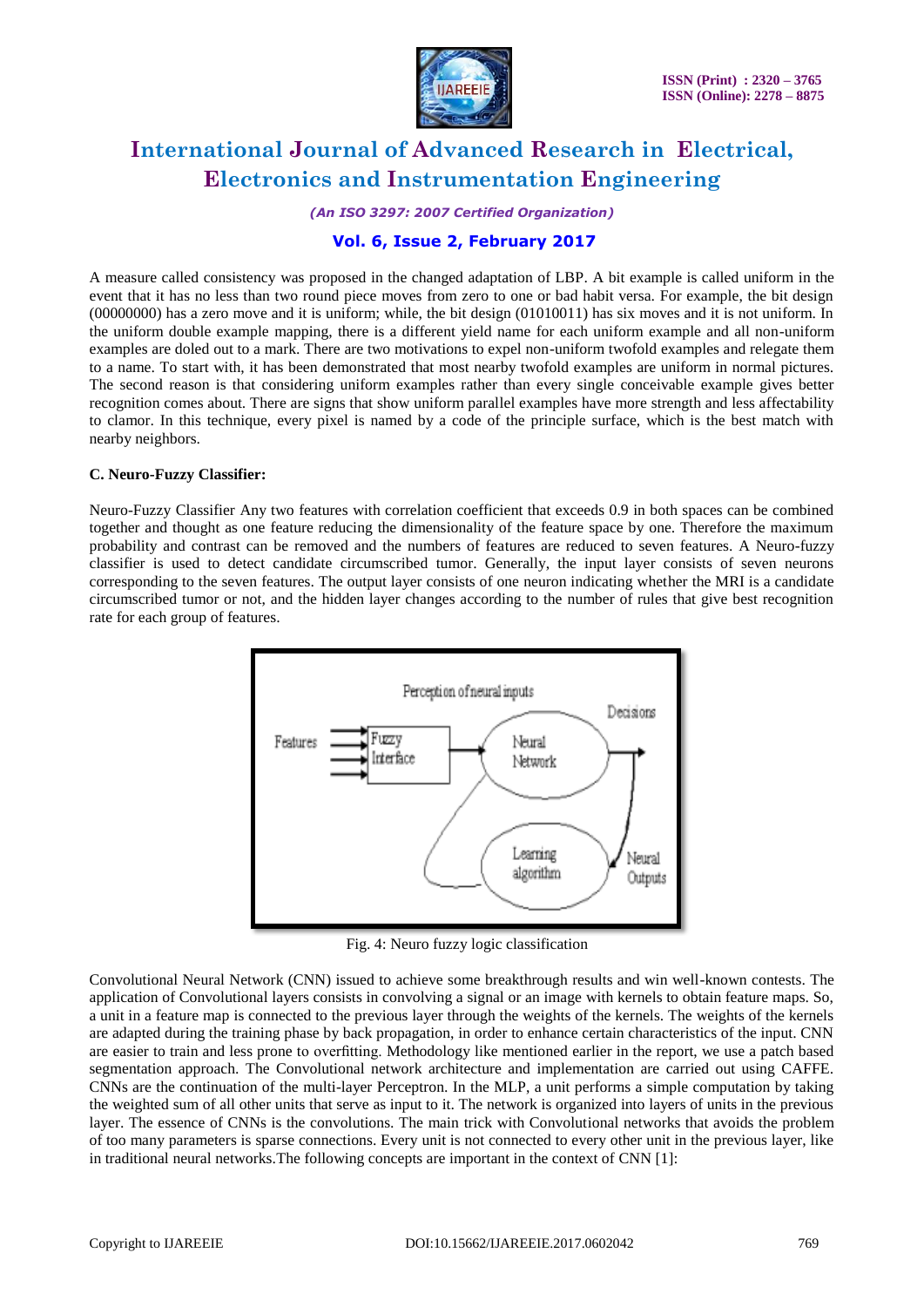

*(An ISO 3297: 2007 Certified Organization)*

### **Vol. 6, Issue 2, February 2017**

A measure called consistency was proposed in the changed adaptation of LBP. A bit example is called uniform in the event that it has no less than two round piece moves from zero to one or bad habit versa. For example, the bit design (00000000) has a zero move and it is uniform; while, the bit design (01010011) has six moves and it is not uniform. In the uniform double example mapping, there is a different yield name for each uniform example and all non-uniform examples are doled out to a mark. There are two motivations to expel non-uniform twofold examples and relegate them to a name. To start with, it has been demonstrated that most nearby twofold examples are uniform in normal pictures. The second reason is that considering uniform examples rather than every single conceivable example gives better recognition comes about. There are signs that show uniform parallel examples have more strength and less affectability to clamor. In this technique, every pixel is named by a code of the principle surface, which is the best match with nearby neighbors.

#### **C. Neuro-Fuzzy Classifier:**

Neuro-Fuzzy Classifier Any two features with correlation coefficient that exceeds 0.9 in both spaces can be combined together and thought as one feature reducing the dimensionality of the feature space by one. Therefore the maximum probability and contrast can be removed and the numbers of features are reduced to seven features. A Neuro-fuzzy classifier is used to detect candidate circumscribed tumor. Generally, the input layer consists of seven neurons corresponding to the seven features. The output layer consists of one neuron indicating whether the MRI is a candidate circumscribed tumor or not, and the hidden layer changes according to the number of rules that give best recognition rate for each group of features.



Fig. 4: Neuro fuzzy logic classification

Convolutional Neural Network (CNN) issued to achieve some breakthrough results and win well-known contests. The application of Convolutional layers consists in convolving a signal or an image with kernels to obtain feature maps. So, a unit in a feature map is connected to the previous layer through the weights of the kernels. The weights of the kernels are adapted during the training phase by back propagation, in order to enhance certain characteristics of the input. CNN are easier to train and less prone to overfitting. Methodology like mentioned earlier in the report, we use a patch based segmentation approach. The Convolutional network architecture and implementation are carried out using CAFFE. CNNs are the continuation of the multi-layer Perceptron. In the MLP, a unit performs a simple computation by taking the weighted sum of all other units that serve as input to it. The network is organized into layers of units in the previous layer. The essence of CNNs is the convolutions. The main trick with Convolutional networks that avoids the problem of too many parameters is sparse connections. Every unit is not connected to every other unit in the previous layer, like in traditional neural networks.The following concepts are important in the context of CNN [1]: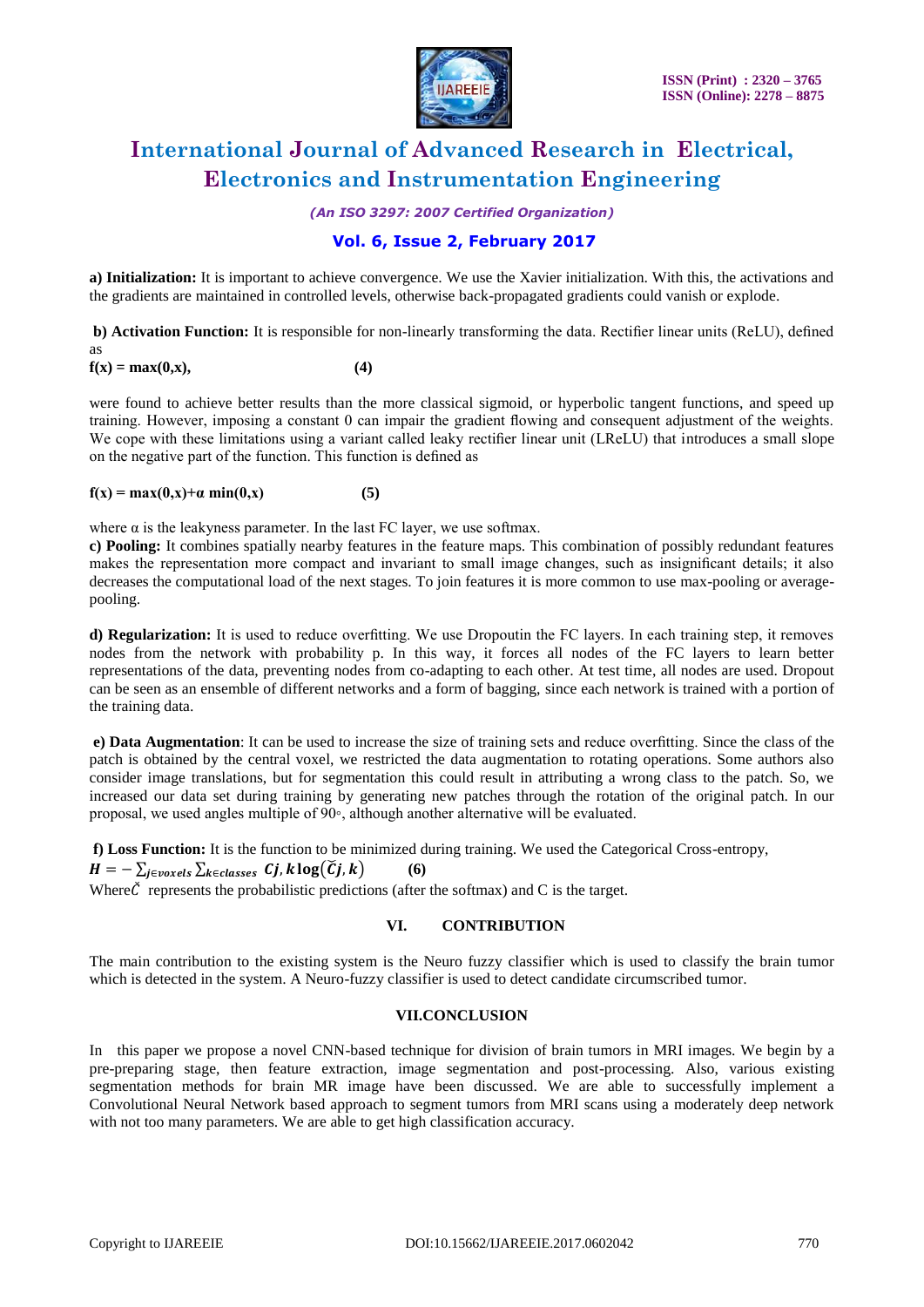

*(An ISO 3297: 2007 Certified Organization)*

### **Vol. 6, Issue 2, February 2017**

**a) Initialization:** It is important to achieve convergence. We use the Xavier initialization. With this, the activations and the gradients are maintained in controlled levels, otherwise back-propagated gradients could vanish or explode.

**b) Activation Function:** It is responsible for non-linearly transforming the data. Rectifier linear units (ReLU), defined

 $f(x) = max(0, x),$  (4)

as

were found to achieve better results than the more classical sigmoid, or hyperbolic tangent functions, and speed up training. However, imposing a constant 0 can impair the gradient flowing and consequent adjustment of the weights. We cope with these limitations using a variant called leaky rectifier linear unit (LReLU) that introduces a small slope on the negative part of the function. This function is defined as

#### **f**(x) = max(0,x)+α min(0,x) (5)

where  $\alpha$  is the leakyness parameter. In the last FC layer, we use softmax.

**c) Pooling:** It combines spatially nearby features in the feature maps. This combination of possibly redundant features makes the representation more compact and invariant to small image changes, such as insignificant details; it also decreases the computational load of the next stages. To join features it is more common to use max-pooling or averagepooling.

**d) Regularization:** It is used to reduce overfitting. We use Dropoutin the FC layers. In each training step, it removes nodes from the network with probability p. In this way, it forces all nodes of the FC layers to learn better representations of the data, preventing nodes from co-adapting to each other. At test time, all nodes are used. Dropout can be seen as an ensemble of different networks and a form of bagging, since each network is trained with a portion of the training data.

**e) Data Augmentation**: It can be used to increase the size of training sets and reduce overfitting. Since the class of the patch is obtained by the central voxel, we restricted the data augmentation to rotating operations. Some authors also consider image translations, but for segmentation this could result in attributing a wrong class to the patch. So, we increased our data set during training by generating new patches through the rotation of the original patch. In our proposal, we used angles multiple of 90◦, although another alternative will be evaluated.

**f) Loss Function:** It is the function to be minimized during training. We used the Categorical Cross-entropy,

 $H = -\sum_{j \in \text{voxels}} \sum_{k \in \text{classes}} C_j, k \log(\widetilde{C}_j, k)$  (6)

Where  $\check{C}$  represents the probabilistic predictions (after the softmax) and C is the target.

#### **VI. CONTRIBUTION**

The main contribution to the existing system is the Neuro fuzzy classifier which is used to classify the brain tumor which is detected in the system. A Neuro-fuzzy classifier is used to detect candidate circumscribed tumor.

#### **VII.CONCLUSION**

In this paper we propose a novel CNN-based technique for division of brain tumors in MRI images. We begin by a pre-preparing stage, then feature extraction, image segmentation and post-processing. Also, various existing segmentation methods for brain MR image have been discussed. We are able to successfully implement a Convolutional Neural Network based approach to segment tumors from MRI scans using a moderately deep network with not too many parameters. We are able to get high classification accuracy.